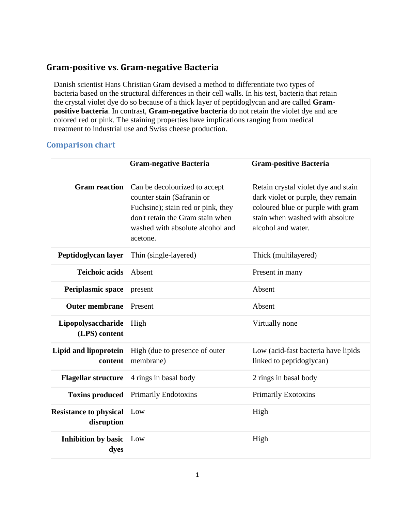## **Gram-positive vs. Gram-negative Bacteria**

Danish scientist Hans Christian Gram devised a method to differentiate two types of bacteria based on the structural differences in their cell walls. In his test, bacteria that retain the crystal violet dye do so because of a thick layer of peptidoglycan and are called **Grampositive bacteria**. In contrast, **Gram-negative bacteria** do not retain the violet dye and are colored red or pink. The staining properties have implications ranging from medical treatment to industrial use and Swiss cheese production.

## **Comparison chart**

|                                             | <b>Gram-negative Bacteria</b>                                                                                                                                                         | <b>Gram-positive Bacteria</b>                                                                                                                                           |
|---------------------------------------------|---------------------------------------------------------------------------------------------------------------------------------------------------------------------------------------|-------------------------------------------------------------------------------------------------------------------------------------------------------------------------|
| <b>Gram reaction</b>                        | Can be decolourized to accept<br>counter stain (Safranin or<br>Fuchsine); stain red or pink, they<br>don't retain the Gram stain when<br>washed with absolute alcohol and<br>acetone. | Retain crystal violet dye and stain<br>dark violet or purple, they remain<br>coloured blue or purple with gram<br>stain when washed with absolute<br>alcohol and water. |
| Peptidoglycan layer                         | Thin (single-layered)                                                                                                                                                                 | Thick (multilayered)                                                                                                                                                    |
| <b>Teichoic acids</b>                       | Absent                                                                                                                                                                                | Present in many                                                                                                                                                         |
| <b>Periplasmic space</b>                    | present                                                                                                                                                                               | Absent                                                                                                                                                                  |
| <b>Outer membrane</b>                       | Present                                                                                                                                                                               | Absent                                                                                                                                                                  |
| Lipopolysaccharide<br>(LPS) content         | High                                                                                                                                                                                  | Virtually none                                                                                                                                                          |
| Lipid and lipoprotein<br>content            | High (due to presence of outer<br>membrane)                                                                                                                                           | Low (acid-fast bacteria have lipids<br>linked to peptidoglycan)                                                                                                         |
| <b>Flagellar structure</b>                  | 4 rings in basal body                                                                                                                                                                 | 2 rings in basal body                                                                                                                                                   |
| <b>Toxins produced</b>                      | Primarily Endotoxins                                                                                                                                                                  | <b>Primarily Exotoxins</b>                                                                                                                                              |
| <b>Resistance to physical</b><br>disruption | Low                                                                                                                                                                                   | High                                                                                                                                                                    |
| <b>Inhibition by basic</b> Low<br>dyes      |                                                                                                                                                                                       | High                                                                                                                                                                    |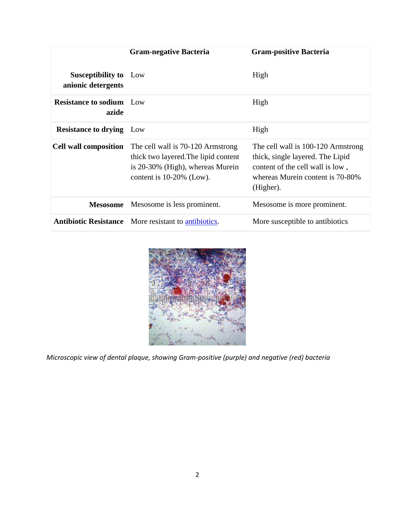|                                                    | <b>Gram-negative Bacteria</b>                                                                                                                | <b>Gram-positive Bacteria</b>                                                                                                                               |
|----------------------------------------------------|----------------------------------------------------------------------------------------------------------------------------------------------|-------------------------------------------------------------------------------------------------------------------------------------------------------------|
| <b>Susceptibility to</b> Low<br>anionic detergents |                                                                                                                                              | High                                                                                                                                                        |
| <b>Resistance to sodium</b> Low<br>azide           |                                                                                                                                              | High                                                                                                                                                        |
| <b>Resistance to drying</b>                        | Low                                                                                                                                          | High                                                                                                                                                        |
| <b>Cell wall composition</b>                       | The cell wall is 70-120 Armstrong<br>thick two layered. The lipid content<br>is 20-30% (High), whereas Murein<br>content is $10-20\%$ (Low). | The cell wall is 100-120 Armstrong<br>thick, single layered. The Lipid<br>content of the cell wall is low,<br>whereas Murein content is 70-80%<br>(Higher). |
| <b>Mesosome</b>                                    | Mesosome is less prominent.                                                                                                                  | Mesosome is more prominent.                                                                                                                                 |
|                                                    | Antibiotic Resistance More resistant to antibiotics.                                                                                         | More susceptible to antibiotics                                                                                                                             |



*Microscopic view of dental plaque, showing Gram-positive (purple) and negative (red) bacteria*